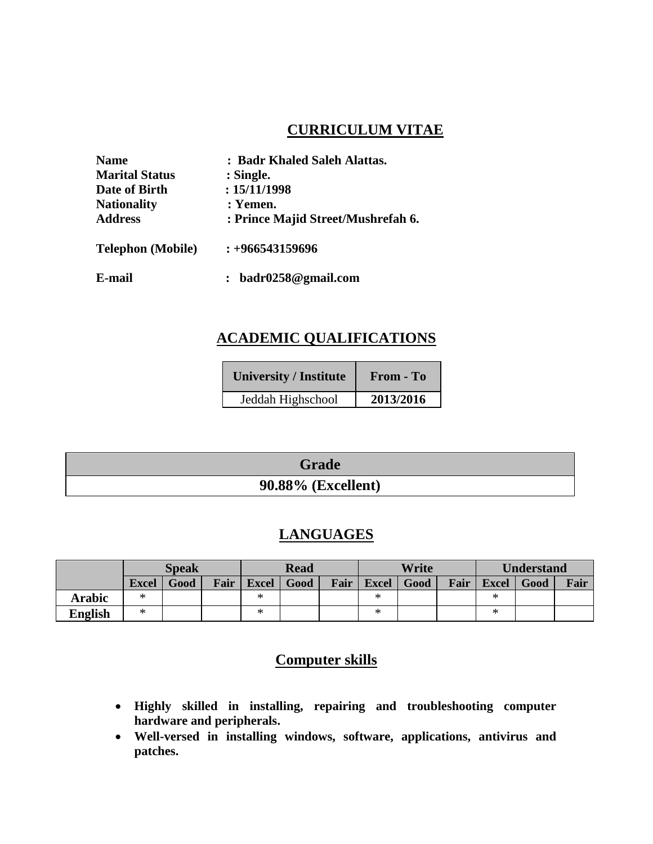## **CURRICULUM VITAE**

| <b>Name</b>              | : Badr Khaled Saleh Alattas.       |
|--------------------------|------------------------------------|
| <b>Marital Status</b>    | : Single.                          |
| Date of Birth            | : 15/11/1998                       |
| <b>Nationality</b>       | : Yemen.                           |
| <b>Address</b>           | : Prince Majid Street/Mushrefah 6. |
| <b>Telephon</b> (Mobile) | $: +966543159696$                  |
| E-mail                   | badr0258@gmail.com                 |

# **ACADEMIC QUALIFICATIONS**

| <b>University / Institute</b> | From - To |
|-------------------------------|-----------|
| Jeddah Highschool             | 2013/2016 |

| <b>Grade</b>              |
|---------------------------|
| <b>90.88% (Excellent)</b> |

## **LANGUAGES**

|                | <b>Speak</b> |      |      | <b>Read</b>  |      | Write |              |      | <b>Understand</b> |              |      |      |
|----------------|--------------|------|------|--------------|------|-------|--------------|------|-------------------|--------------|------|------|
|                | <b>Excel</b> | Good | Fair | <b>Excel</b> | Good | Fair  | <b>Excel</b> | Good | Fair              | <b>Excel</b> | Good | Fair |
| <b>Arabic</b>  | ∗            |      |      | ∗            |      |       | ж            |      |                   | $\ast$       |      |      |
| <b>English</b> | *            |      |      | ∗            |      |       | ∗            |      |                   | ∗            |      |      |

# **Computer skills**

- **Highly skilled in installing, repairing and troubleshooting computer hardware and peripherals.**
- **Well-versed in installing windows, software, applications, antivirus and patches.**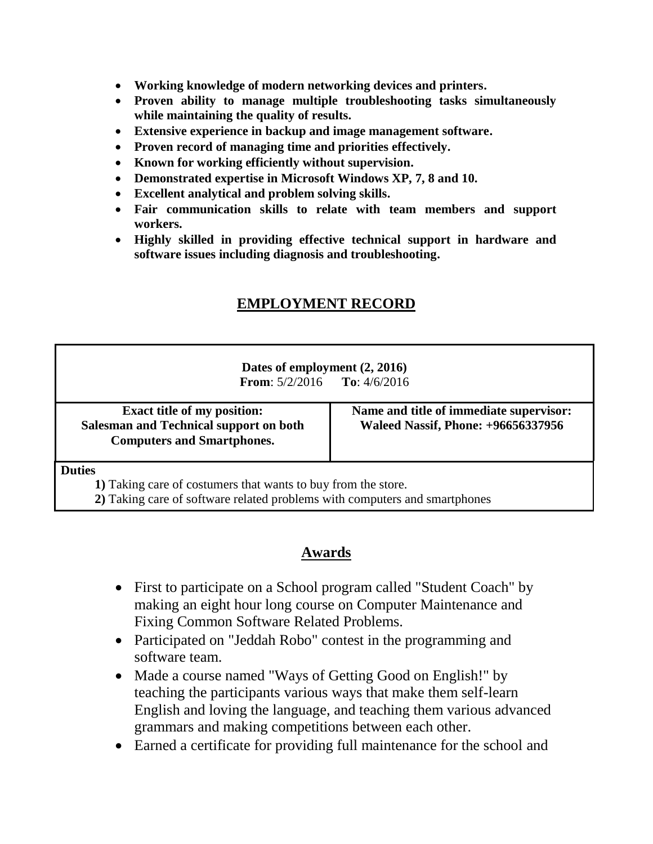- **Working knowledge of modern networking devices and printers.**
- **Proven ability to manage multiple troubleshooting tasks simultaneously while maintaining the quality of results.**
- **Extensive experience in backup and image management software.**
- **Proven record of managing time and priorities effectively.**
- **Known for working efficiently without supervision.**
- **Demonstrated expertise in Microsoft Windows XP, 7, 8 and 10.**
- **Excellent analytical and problem solving skills.**
- **Fair communication skills to relate with team members and support workers.**
- **Highly skilled in providing effective technical support in hardware and software issues including diagnosis and troubleshooting.**

# **EMPLOYMENT RECORD**

#### **Dates of employment (2, 2016) From**: 5/2/2016 **To**: 4/6/2016

**Exact title of my position: Salesman and Technical support on both Computers and Smartphones.**

**Name and title of immediate supervisor: Waleed Nassif, Phone: +96656337956**

**Duties**

**1)** Taking care of costumers that wants to buy from the store.

**2)** Taking care of software related problems with computers and smartphones

## **Awards**

- First to participate on a School program called "Student Coach" by making an eight hour long course on Computer Maintenance and Fixing Common Software Related Problems.
- Participated on "Jeddah Robo" contest in the programming and software team.
- Made a course named "Ways of Getting Good on English!" by teaching the participants various ways that make them self-learn English and loving the language, and teaching them various advanced grammars and making competitions between each other.
- Earned a certificate for providing full maintenance for the school and